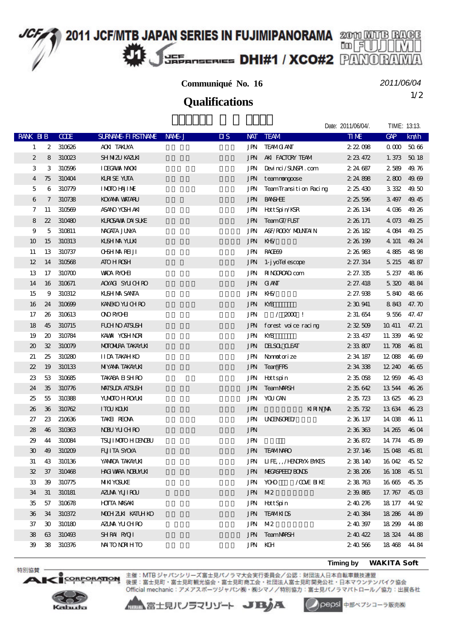# 2011 JCF/MTB JAPAN SERIES IN FUJIMIPANORAMA 2000 MUTB BAGE 咖团 **JEE<sub>ROSERIES</sub> DHI#1 / XCO#2** PANO

### **Communiqué No. 16**

*2011/06/04*

Date: 2011/04/04/. TIME: 12:12

1/2 **Qualifications**

|                  |                             |            |                           |        |                                         |                    |                           | Dale. 2011/00/04/. | I INULE. 13.13. |                    |
|------------------|-----------------------------|------------|---------------------------|--------|-----------------------------------------|--------------------|---------------------------|--------------------|-----------------|--------------------|
| RANK BIB         |                             | <b>COE</b> | <b>SURVANE FIRSTIVANE</b> | NAME J | $\overline{\mathbf{u}}$ s<br><b>NAT</b> | <b>TEAM</b>        |                           | <b>TIME</b>        | <b>GAP</b>      | km/h               |
| 1                | 2                           | 310626     | <b>ACKI TAKUYA</b>        |        | JPN                                     |                    | <b>TEAMO ANT</b>          | 222008             | 0 <sub>0</sub>  | 5066               |
| $\boldsymbol{2}$ | 8                           | 310023     | SH NIZU KAZUKI            |        | <b>JPN</b>                              |                    | AKI FACTORY TEAM          | 223472             | 1.373           | 5018               |
| 3                | 3                           | 310596     | <b>I LECAVAX NACKI</b>    |        | JPN                                     |                    | Devinci/SUNSPI.com        | 2 24 687           | 2589            | 49.76              |
| 4                | 75                          | 310404     | <b>KRSE YUTA</b>          |        | <b>JPN</b>                              |                    | teamnongoose              | 2 24 8 08          | 2800            | 49.69              |
| 5                | 6                           | 310779     | <b>IMOIO HAJIME</b>       |        | JPN                                     |                    | TeamTransition Racing     | 2 25 430           | 3332 49.50      |                    |
| 6                | 7                           | 310738     | <b>KOYAYA VAITARU</b>     |        | <b>JPN</b>                              | <b>BANSHEE</b>     |                           | 2 25 596           | 3497            | 49.45              |
| 7                | 11                          | 310569     | ASANO YOSH AKI            |        | JPN                                     |                    | Hott Spin/KSR             | 2 26 134           | 4 036 49 26     |                    |
| 8                | $22\,$                      | 310480     | KUROSAWA DAI SUKE         |        | <b>JPN</b>                              |                    | TeamCT/FUST               | 2 26 171           | 4 073 49.25     |                    |
| 9                | 5                           | 310811     | NACATA JUNA               |        | JPN                                     |                    | A&F/ROCKY MOUNTAIN        | 2 26 182           | 4 0 84 49 25    |                    |
| 10               | 15                          | 310313     | KISH NA YUKI              |        | JPN                                     | $M-S$              |                           | 2 26 199           | 4 101           | 49.24              |
| 11               | 13                          | 310737     | <b>OSHMARELI</b>          |        | JPN                                     | RACEGO <sub></sub> |                           | 2 26 983           | 4885            | 4898               |
| 12               | 14                          | 310568     | <b>ATO H ROSH</b>         |        | <b>JPN</b>                              |                    | 1- j yoTel escope         | 2 27.314           | 5 215 48 87     |                    |
| 13               | 17                          | 310700     | <b>WADA RYOHI</b>         |        | JPN                                     |                    | <b>RINGROAD</b> com       | 2 27.335           | 5 237           | 4886               |
| 14               | 16                          | 310671     | AOYACI SYUCHRO            |        | <b>JPN</b>                              | <b>GANT</b>        |                           | 2 27.418           | 5 320 48 84     |                    |
| 15               | 9                           | 310312     | <b>KISH NA SANTA</b>      |        | JPN                                     | KHS/               |                           | 2 27.938           | 5840 4866       |                    |
| 16               | 24                          | 310699     | <b>KANEKO YU CH RO</b>    |        | <b>JPN</b>                              | KYB                |                           | 2 30 941           | 8843            | 47.70              |
| 17               | 26                          | 310613     | <b>ONO RYOHI</b>          |        | <b>JPN</b>                              |                    | $/2000$ !                 | 2 31 654           | 9 556 47.47     |                    |
| 18               | 45                          | 310715     | <b>FUH NO AISUSH</b>      |        | <b>JPN</b>                              |                    | forest voice racing       | 232509             | 10.411          | 47.21              |
| 19               | $\boldsymbol{\mathfrak{D}}$ | 310784     | KAWAI YOSH NORI           |        | JPN                                     | KYB                |                           | 233437             | 11.339          | 46 92              |
| 20               | 32                          | 310079     | <b>MOTOMIRA TAKAYLKI</b>  |        | <b>JPN</b>                              |                    | <b>IHSOL CLEAT</b>        | 233807             | 11. $\pi$ 08    | 4681               |
| 21               | 25                          | 310280     | <b>IIDA TAKAH KO</b>      |        | <b>JPN</b>                              |                    | Namotorize                | 2 34 187           | 12088           | 46 69              |
| 22               | 19                          | 310133     | <b>MIYANA TAKAYLKI</b>    |        | <b>JPN</b>                              | TeamFRS            |                           | 2 34 338           | 12 240          | 4665               |
| 23               | 53                          | 310685     | <b>TAKABA EI SH RO</b>    |        | JPN                                     | <b>H</b> ttspin    |                           | 2 35 058           | 12959           | 46.43              |
| 24               | 35                          | 310776     | <b>MAISLIA AISLSH</b>     |        | <b>JPN</b>                              |                    | <b>TeamMRSH</b>           | 235642             | 13544           | 46.26              |
| 25               | 55                          | 310388     | <b>YUMOTO H ROYUN</b>     |        | JPN                                     | YOU CAN            |                           | 235723             | 13625           | 46.23              |
| 26               | 36                          | 310762     | <b>ITOU KOUN</b>          |        | <b>JPN</b>                              |                    | <b>KRNM</b>               | 2 35 732           | 13634           | 4623               |
| 27               | 23                          | 210636     | TAKEL REONA               |        | JPN                                     |                    | <b>UNENSORED</b>          | 2 36 137           | 14 038          | 46 11              |
| 28               | 46                          | 310363     | <b>NBU YUCHRO</b>         |        | <b>JPN</b>                              |                    |                           | 2 36 363           | 14 265          | 4604               |
| 29               | 44                          | 310084     | <b>TSUI MOTO H LENCEU</b> |        | <b>JPN</b>                              |                    |                           | 2 36 872           | 14 774          | 45.89              |
| 30               | 49                          | 310209     | <b>FUILTA SYOYA</b>       |        | <b>JPN</b>                              |                    | <b>TEAMINRO</b>           | 2 37.146           | 15 048          | 4581               |
| 31               | 43                          | 310136     | YANADA TAKAYUKI           |        | JPN                                     |                    | <b>UFE/HNRYXBYNES</b>     | 2 38 140           | 16 042          | 4552               |
| 32               | 37                          | 310468     | <b>HACI VARA NDEVILKI</b> |        |                                         |                    | <b>JPN NECASPEEDYBONS</b> | 238206             | 16 108 45 51    |                    |
| 33               | 39                          | 310775     | <b>MIKI YOSUKE</b>        |        | JPN                                     | <b>YOHO</b>        | /COME BINE                | 238763             | 16 665          | 4535               |
| 34               | 31                          | 310181     | AZIMA YUJI ROU            |        | <b>JPN</b>                              | M2                 |                           | 239865             | 17.767          | $45 \,\mathrm{GB}$ |
| 35               | 57                          | 310678     | HOTTA MASAKI              |        |                                         | JPN HottSpin       |                           | 240276             | 18 177 44 92    |                    |
| 36               | 34                          | 310372     | MOCHZIKI KATUHKO          |        | <b>JPN</b>                              | <b>TEAMKIDS</b>    |                           | 240384             | 18 28 6         | 44.89              |
| 37               | $\boldsymbol{\mathfrak{D}}$ | 310180     | AZIMA YUCHRO              |        | JPN                                     | M <sub>2</sub>     |                           | 240397             | 18 29 9         | 4488               |
| 38               | 63                          | 310493     | SHRAI RAOTI               |        | <b>JPN</b>                              |                    | <b>TeamMRSH</b>           | 240422             | 18 324          | 44.88              |
| 39               | 38                          | 310376     | <b>NATO NORHTO</b>        |        | JPN                                     | KCH                |                           | 240566             | 18468           | 44.84              |
|                  |                             |            |                           |        |                                         |                    |                           |                    |                 |                    |

**Timing by** *WAKITA Soft*



CORPORATION

特別協賛·

Аŀ

主催:MTB ジャパンシリーズ富士見パノラマ大会実行委員会/公認:財団法人日本自転車競技連盟<br>後援:富士見町・富士見町観光協会・富士見町商工会・社団法人富士見町開発公社・日本マウンテンパイク協会 Official mechanic: アメアスポーツジャパン(株)・株シマノ/特別協力:富士見パノラマパトロール/協力:出展各社

▲▲富士見パノラマリゾート JBJA

pepsi 中部ペプシコーラ販売株